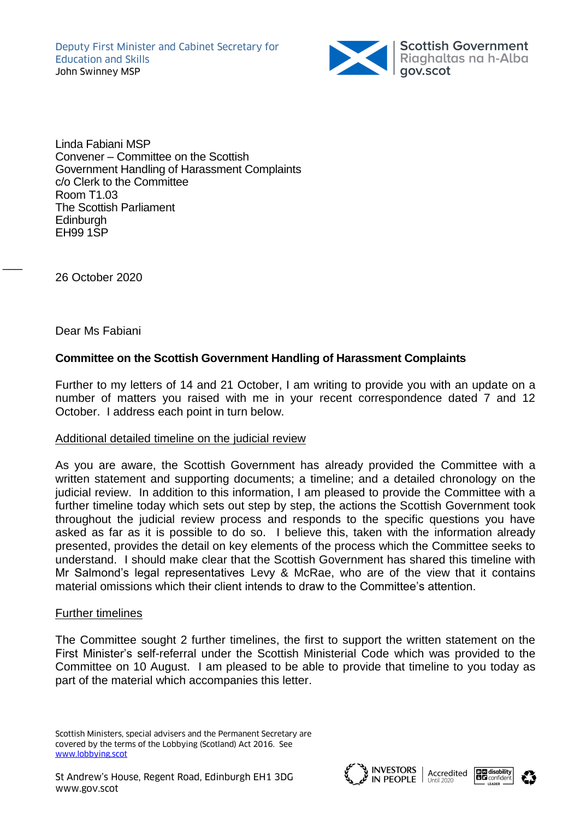

Linda Fabiani MSP Convener – Committee on the Scottish Government Handling of Harassment Complaints c/o Clerk to the Committee Room T1.03 The Scottish Parliament **Edinburgh** EH99 1SP

26 October 2020

 $\overline{\phantom{a}}$ 

Dear Ms Fabiani

# **Committee on the Scottish Government Handling of Harassment Complaints**

Further to my letters of 14 and 21 October, I am writing to provide you with an update on a number of matters you raised with me in your recent correspondence dated 7 and 12 October. I address each point in turn below.

## Additional detailed timeline on the judicial review

As you are aware, the Scottish Government has already provided the Committee with a written statement and supporting documents; a timeline; and a detailed chronology on the judicial review. In addition to this information, I am pleased to provide the Committee with a further timeline today which sets out step by step, the actions the Scottish Government took throughout the judicial review process and responds to the specific questions you have asked as far as it is possible to do so. I believe this, taken with the information already presented, provides the detail on key elements of the process which the Committee seeks to understand. I should make clear that the Scottish Government has shared this timeline with Mr Salmond's legal representatives Levy & McRae, who are of the view that it contains material omissions which their client intends to draw to the Committee's attention.

#### Further timelines

The Committee sought 2 further timelines, the first to support the written statement on the First Minister's self-referral under the Scottish Ministerial Code which was provided to the Committee on 10 August. I am pleased to be able to provide that timeline to you today as part of the material which accompanies this letter.

Scottish Ministers, special advisers and the Permanent Secretary are covered by the terms of the Lobbying (Scotland) Act 2016. See [www.lobbying.scot](http://www.lobbying.scot/)





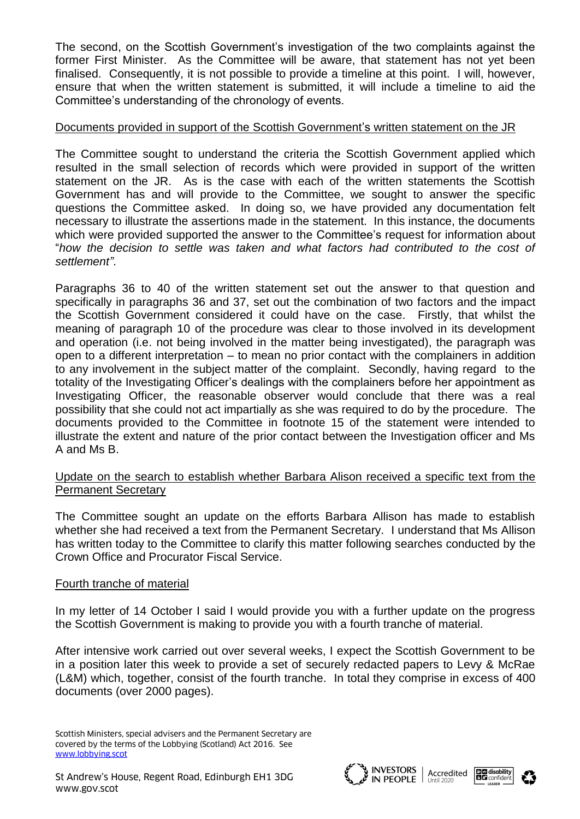The second, on the Scottish Government's investigation of the two complaints against the former First Minister. As the Committee will be aware, that statement has not yet been finalised. Consequently, it is not possible to provide a timeline at this point. I will, however, ensure that when the written statement is submitted, it will include a timeline to aid the Committee's understanding of the chronology of events.

## Documents provided in support of the Scottish Government's written statement on the JR

The Committee sought to understand the criteria the Scottish Government applied which resulted in the small selection of records which were provided in support of the written statement on the JR. As is the case with each of the written statements the Scottish Government has and will provide to the Committee, we sought to answer the specific questions the Committee asked. In doing so, we have provided any documentation felt necessary to illustrate the assertions made in the statement. In this instance, the documents which were provided supported the answer to the Committee's request for information about "*how the decision to settle was taken and what factors had contributed to the cost of settlement"*.

Paragraphs 36 to 40 of the written statement set out the answer to that question and specifically in paragraphs 36 and 37, set out the combination of two factors and the impact the Scottish Government considered it could have on the case. Firstly, that whilst the meaning of paragraph 10 of the procedure was clear to those involved in its development and operation (i.e. not being involved in the matter being investigated), the paragraph was open to a different interpretation – to mean no prior contact with the complainers in addition to any involvement in the subject matter of the complaint. Secondly, having regard to the totality of the Investigating Officer's dealings with the complainers before her appointment as Investigating Officer, the reasonable observer would conclude that there was a real possibility that she could not act impartially as she was required to do by the procedure. The documents provided to the Committee in footnote 15 of the statement were intended to illustrate the extent and nature of the prior contact between the Investigation officer and Ms A and Ms B.

## Update on the search to establish whether Barbara Alison received a specific text from the Permanent Secretary

The Committee sought an update on the efforts Barbara Allison has made to establish whether she had received a text from the Permanent Secretary. I understand that Ms Allison has written today to the Committee to clarify this matter following searches conducted by the Crown Office and Procurator Fiscal Service.

## Fourth tranche of material

In my letter of 14 October I said I would provide you with a further update on the progress the Scottish Government is making to provide you with a fourth tranche of material.

After intensive work carried out over several weeks, I expect the Scottish Government to be in a position later this week to provide a set of securely redacted papers to Levy & McRae (L&M) which, together, consist of the fourth tranche. In total they comprise in excess of 400 documents (over 2000 pages).







Scottish Ministers, special advisers and the Permanent Secretary are covered by the terms of the Lobbying (Scotland) Act 2016. See [www.lobbying.scot](http://www.lobbying.scot/)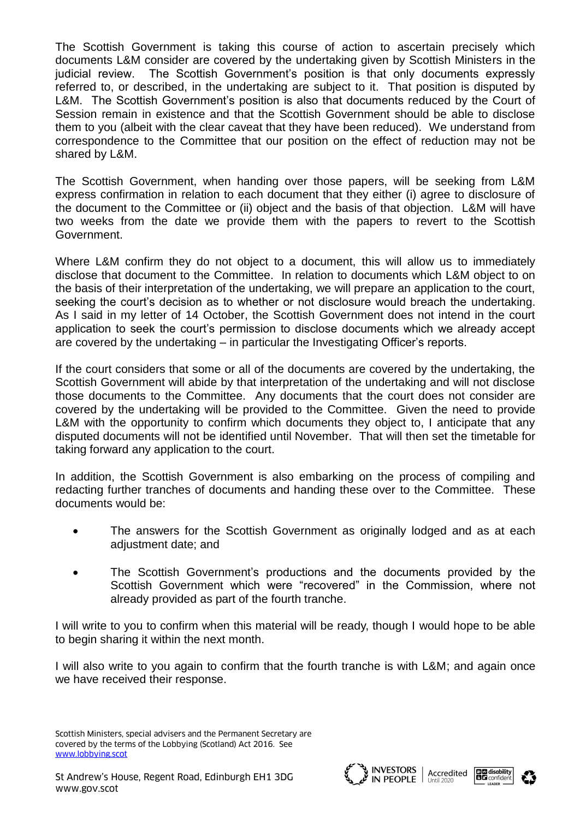The Scottish Government is taking this course of action to ascertain precisely which documents L&M consider are covered by the undertaking given by Scottish Ministers in the judicial review. The Scottish Government's position is that only documents expressly referred to, or described, in the undertaking are subject to it. That position is disputed by L&M. The Scottish Government's position is also that documents reduced by the Court of Session remain in existence and that the Scottish Government should be able to disclose them to you (albeit with the clear caveat that they have been reduced). We understand from correspondence to the Committee that our position on the effect of reduction may not be shared by L&M.

The Scottish Government, when handing over those papers, will be seeking from L&M express confirmation in relation to each document that they either (i) agree to disclosure of the document to the Committee or (ii) object and the basis of that objection. L&M will have two weeks from the date we provide them with the papers to revert to the Scottish Government.

Where L&M confirm they do not object to a document, this will allow us to immediately disclose that document to the Committee. In relation to documents which L&M object to on the basis of their interpretation of the undertaking, we will prepare an application to the court, seeking the court's decision as to whether or not disclosure would breach the undertaking. As I said in my letter of 14 October, the Scottish Government does not intend in the court application to seek the court's permission to disclose documents which we already accept are covered by the undertaking – in particular the Investigating Officer's reports.

If the court considers that some or all of the documents are covered by the undertaking, the Scottish Government will abide by that interpretation of the undertaking and will not disclose those documents to the Committee. Any documents that the court does not consider are covered by the undertaking will be provided to the Committee. Given the need to provide L&M with the opportunity to confirm which documents they object to, I anticipate that any disputed documents will not be identified until November. That will then set the timetable for taking forward any application to the court.

In addition, the Scottish Government is also embarking on the process of compiling and redacting further tranches of documents and handing these over to the Committee. These documents would be:

- The answers for the Scottish Government as originally lodged and as at each adjustment date; and
- The Scottish Government's productions and the documents provided by the Scottish Government which were "recovered" in the Commission, where not already provided as part of the fourth tranche.

I will write to you to confirm when this material will be ready, though I would hope to be able to begin sharing it within the next month.

I will also write to you again to confirm that the fourth tranche is with L&M; and again once we have received their response.







Scottish Ministers, special advisers and the Permanent Secretary are covered by the terms of the Lobbying (Scotland) Act 2016. See [www.lobbying.scot](http://www.lobbying.scot/)